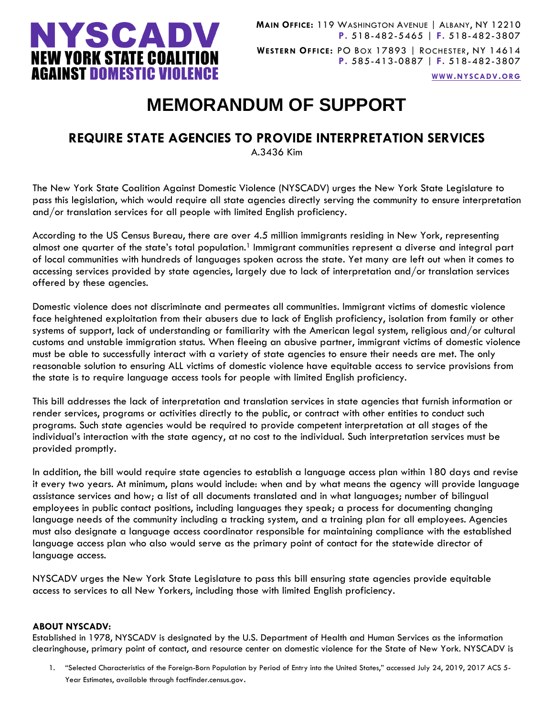

**WWW.[NYSCADV](file://///server/data/Official%20Documents/NYSCADV%20Logo%20&%20Branding/2015%20Letterhead/www.nyscadv.org).ORG**

## **MEMORANDUM OF SUPPORT**

## **REQUIRE STATE AGENCIES TO PROVIDE INTERPRETATION SERVICES**

A.3436 Kim

The New York State Coalition Against Domestic Violence (NYSCADV) urges the New York State Legislature to pass this legislation, which would require all state agencies directly serving the community to ensure interpretation and/or translation services for all people with limited English proficiency.

According to the US Census Bureau, there are over 4.5 million immigrants residing in New York, representing almost one quarter of the state's total population.<sup>1</sup> Immigrant communities represent a diverse and integral part of local communities with hundreds of languages spoken across the state. Yet many are left out when it comes to accessing services provided by state agencies, largely due to lack of interpretation and/or translation services offered by these agencies.

Domestic violence does not discriminate and permeates all communities. Immigrant victims of domestic violence face heightened exploitation from their abusers due to lack of English proficiency, isolation from family or other systems of support, lack of understanding or familiarity with the American legal system, religious and/or cultural customs and unstable immigration status. When fleeing an abusive partner, immigrant victims of domestic violence must be able to successfully interact with a variety of state agencies to ensure their needs are met. The only reasonable solution to ensuring ALL victims of domestic violence have equitable access to service provisions from the state is to require language access tools for people with limited English proficiency.

This bill addresses the lack of interpretation and translation services in state agencies that furnish information or render services, programs or activities directly to the public, or contract with other entities to conduct such programs. Such state agencies would be required to provide competent interpretation at all stages of the individual's interaction with the state agency, at no cost to the individual. Such interpretation services must be provided promptly.

In addition, the bill would require state agencies to establish a language access plan within 180 days and revise it every two years. At minimum, plans would include: when and by what means the agency will provide language assistance services and how; a list of all documents translated and in what languages; number of bilingual employees in public contact positions, including languages they speak; a process for documenting changing language needs of the community including a tracking system, and a training plan for all employees. Agencies must also designate a language access coordinator responsible for maintaining compliance with the established language access plan who also would serve as the primary point of contact for the statewide director of language access.

NYSCADV urges the New York State Legislature to pass this bill ensuring state agencies provide equitable access to services to all New Yorkers, including those with limited English proficiency.

## **ABOUT NYSCADV:**

Established in 1978, NYSCADV is designated by the U.S. Department of Health and Human Services as the information clearinghouse, primary point of contact, and resource center on domestic violence for the State of New York. NYSCADV is

1. "Selected Characteristics of the Foreign-Born Population by Period of Entry into the United States," accessed July 24, 2019, 2017 ACS 5- Year Estimates, available through factfinder.census.gov.